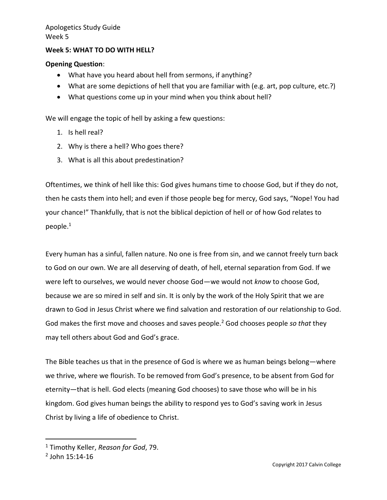#### **Week 5: WHAT TO DO WITH HELL?**

#### **Opening Question**:

- What have you heard about hell from sermons, if anything?
- What are some depictions of hell that you are familiar with (e.g. art, pop culture, etc.?)
- What questions come up in your mind when you think about hell?

We will engage the topic of hell by asking a few questions:

- 1. Is hell real?
- 2. Why is there a hell? Who goes there?
- 3. What is all this about predestination?

Oftentimes, we think of hell like this: God gives humans time to choose God, but if they do not, then he casts them into hell; and even if those people beg for mercy, God says, "Nope! You had your chance!" Thankfully, that is not the biblical depiction of hell or of how God relates to people. $^{\rm 1}$ 

Every human has a sinful, fallen nature. No one is free from sin, and we cannot freely turn back to God on our own. We are all deserving of death, of hell, eternal separation from God. If we were left to ourselves, we would never choose God—we would not *know* to choose God, because we are so mired in self and sin. It is only by the work of the Holy Spirit that we are drawn to God in Jesus Christ where we find salvation and restoration of our relationship to God. God makes the first move and chooses and saves people.<sup>2</sup> God chooses people *so that* they may tell others about God and God's grace.

The Bible teaches us that in the presence of God is where we as human beings belong—where we thrive, where we flourish. To be removed from God's presence, to be absent from God for eternity—that is hell. God elects (meaning God chooses) to save those who will be in his kingdom. God gives human beings the ability to respond yes to God's saving work in Jesus Christ by living a life of obedience to Christ.

<sup>1</sup> Timothy Keller, *Reason for God*, 79.

<sup>2</sup> John 15:14-16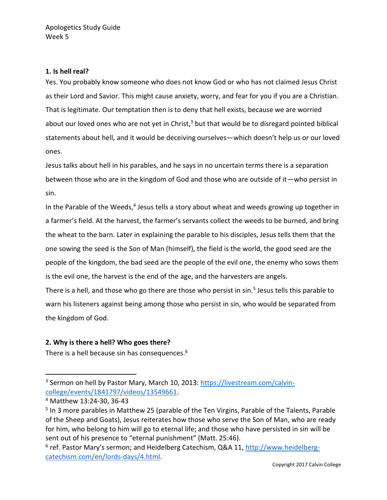## **1. Is hell real?**

Yes. You probably know someone who does not know God or who has not claimed Jesus Christ as their Lord and Savior. This might cause anxiety, worry, and fear for you if you are a Christian. That is legitimate. Our temptation then is to deny that hell exists, because we are worried about our loved ones who are not yet in Christ, $3$  but that would be to disregard pointed biblical statements about hell, and it would be deceiving ourselves—which doesn't help us or our loved ones.

Jesus talks about hell in his parables, and he says in no uncertain terms there is a separation between those who are in the kingdom of God and those who are outside of it—who persist in sin.

In the Parable of the Weeds,<sup>4</sup> Jesus tells a story about wheat and weeds growing up together in a farmer's field. At the harvest, the farmer's servants collect the weeds to be burned, and bring the wheat to the barn. Later in explaining the parable to his disciples, Jesus tells them that the one sowing the seed is the Son of Man (himself), the field is the world, the good seed are the people of the kingdom, the bad seed are the people of the evil one, the enemy who sows them is the evil one, the harvest is the end of the age, and the harvesters are angels.

There is a hell, and those who go there are those who persist in sin.<sup>5</sup> Jesus tells this parable to warn his listeners against being among those who persist in sin, who would be separated from the kingdom of God.

# **2. Why is there a hell? Who goes there?**

There is a hell because sin has consequences.<sup>6</sup>

<sup>&</sup>lt;sup>3</sup> Sermon on hell by Pastor Mary, March 10, 2013: [https://livestream.com/calvin](https://livestream.com/calvin-college/events/1841797/videos/13549661)[college/events/1841797/videos/13549661.](https://livestream.com/calvin-college/events/1841797/videos/13549661)

<sup>4</sup> Matthew 13:24-30, 36-43

<sup>&</sup>lt;sup>5</sup> In 3 more parables in Matthew 25 (parable of the Ten Virgins, Parable of the Talents, Parable of the Sheep and Goats), Jesus reiterates how those who serve the Son of Man, who are ready for him, who belong to him will go to eternal life; and those who have persisted in sin will be sent out of his presence to "eternal punishment" (Matt. 25:46).

<sup>&</sup>lt;sup>6</sup> ref. Pastor Mary's sermon; and Heidelberg Catechism, Q&A 11, <u>http://www.heidelberg-</u> [catechism.com/en/lords-days/4.html.](http://www.heidelberg-catechism.com/en/lords-days/4.html)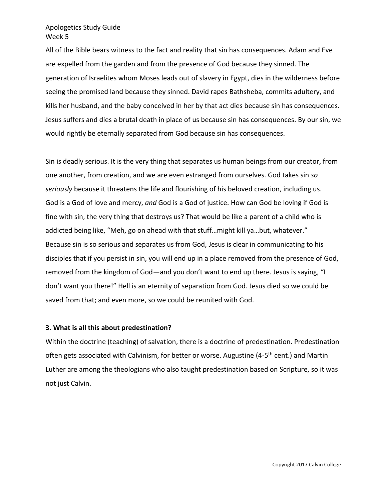All of the Bible bears witness to the fact and reality that sin has consequences. Adam and Eve are expelled from the garden and from the presence of God because they sinned. The generation of Israelites whom Moses leads out of slavery in Egypt, dies in the wilderness before seeing the promised land because they sinned. David rapes Bathsheba, commits adultery, and kills her husband, and the baby conceived in her by that act dies because sin has consequences. Jesus suffers and dies a brutal death in place of us because sin has consequences. By our sin, we would rightly be eternally separated from God because sin has consequences.

Sin is deadly serious. It is the very thing that separates us human beings from our creator, from one another, from creation, and we are even estranged from ourselves. God takes sin *so seriously* because it threatens the life and flourishing of his beloved creation, including us. God is a God of love and mercy, *and* God is a God of justice. How can God be loving if God is fine with sin, the very thing that destroys us? That would be like a parent of a child who is addicted being like, "Meh, go on ahead with that stuff…might kill ya…but, whatever." Because sin is so serious and separates us from God, Jesus is clear in communicating to his disciples that if you persist in sin, you will end up in a place removed from the presence of God, removed from the kingdom of God—and you don't want to end up there. Jesus is saying, "I don't want you there!" Hell is an eternity of separation from God. Jesus died so we could be saved from that; and even more, so we could be reunited with God.

#### **3. What is all this about predestination?**

Within the doctrine (teaching) of salvation, there is a doctrine of predestination. Predestination often gets associated with Calvinism, for better or worse. Augustine (4-5<sup>th</sup> cent.) and Martin Luther are among the theologians who also taught predestination based on Scripture, so it was not just Calvin.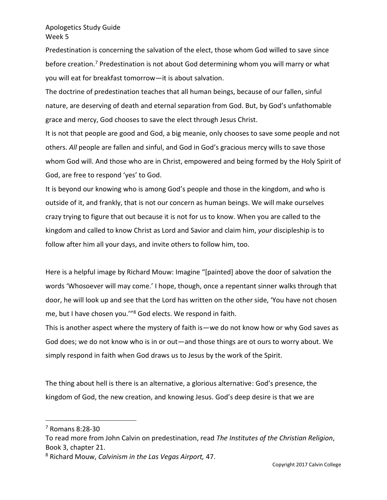Predestination is concerning the salvation of the elect, those whom God willed to save since before creation.<sup>7</sup> Predestination is not about God determining whom you will marry or what you will eat for breakfast tomorrow—it is about salvation.

The doctrine of predestination teaches that all human beings, because of our fallen, sinful nature, are deserving of death and eternal separation from God. But, by God's unfathomable grace and mercy, God chooses to save the elect through Jesus Christ.

It is not that people are good and God, a big meanie, only chooses to save some people and not others. *All* people are fallen and sinful, and God in God's gracious mercy wills to save those whom God will. And those who are in Christ, empowered and being formed by the Holy Spirit of God, are free to respond 'yes' to God.

It is beyond our knowing who is among God's people and those in the kingdom, and who is outside of it, and frankly, that is not our concern as human beings. We will make ourselves crazy trying to figure that out because it is not for us to know. When you are called to the kingdom and called to know Christ as Lord and Savior and claim him, *your* discipleship is to follow after him all your days, and invite others to follow him, too.

Here is a helpful image by Richard Mouw: Imagine "[painted] above the door of salvation the words 'Whosoever will may come.' I hope, though, once a repentant sinner walks through that door, he will look up and see that the Lord has written on the other side, 'You have not chosen me, but I have chosen you.'"<sup>8</sup> God elects. We respond in faith.

This is another aspect where the mystery of faith is—we do not know how or why God saves as God does; we do not know who is in or out—and those things are ot ours to worry about. We simply respond in faith when God draws us to Jesus by the work of the Spirit.

The thing about hell is there is an alternative, a glorious alternative: God's presence, the kingdom of God, the new creation, and knowing Jesus. God's deep desire is that we are

<sup>7</sup> Romans 8:28-30

To read more from John Calvin on predestination, read *The Institutes of the Christian Religion*, Book 3, chapter 21.

<sup>8</sup> Richard Mouw, *Calvinism in the Las Vegas Airport,* 47.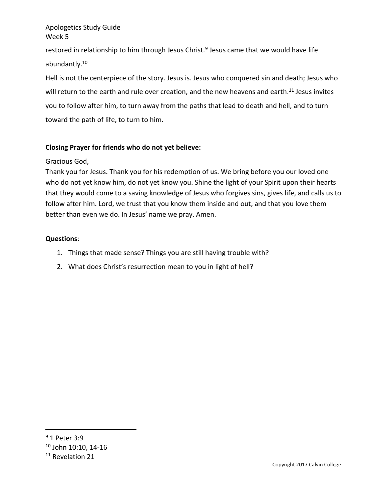restored in relationship to him through Jesus Christ.<sup>9</sup> Jesus came that we would have life abundantly.<sup>10</sup>

Hell is not the centerpiece of the story. Jesus is. Jesus who conquered sin and death; Jesus who will return to the earth and rule over creation, and the new heavens and earth.<sup>11</sup> Jesus invites you to follow after him, to turn away from the paths that lead to death and hell, and to turn toward the path of life, to turn to him.

# **Closing Prayer for friends who do not yet believe:**

## Gracious God,

Thank you for Jesus. Thank you for his redemption of us. We bring before you our loved one who do not yet know him, do not yet know you. Shine the light of your Spirit upon their hearts that they would come to a saving knowledge of Jesus who forgives sins, gives life, and calls us to follow after him. Lord, we trust that you know them inside and out, and that you love them better than even we do. In Jesus' name we pray. Amen.

## **Questions**:

- 1. Things that made sense? Things you are still having trouble with?
- 2. What does Christ's resurrection mean to you in light of hell?

<sup>9</sup> 1 Peter 3:9

<sup>10</sup> John 10:10, 14-16

<sup>&</sup>lt;sup>11</sup> Revelation 21